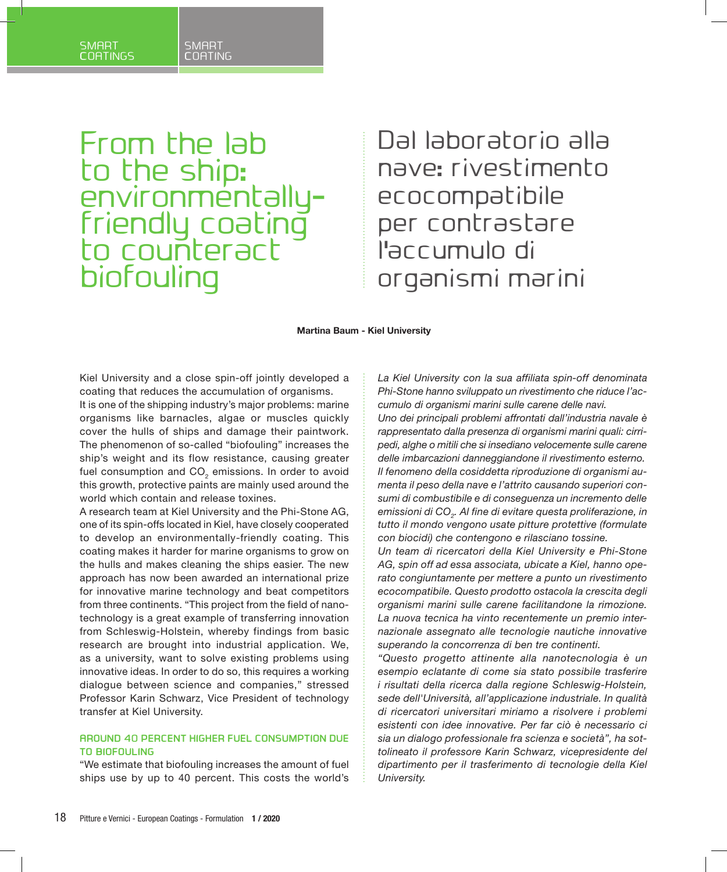## SMART SMART<br>COATINGS COATING COATINGS

From the lab to the ship: environmentallyfriendly coating to counteract biofouling

Dal laboratorio alla nave: rivestimento ecocompatibile per contrastare l'accumulo di organismi marini

**Martina Baum - Kiel University**

Kiel University and a close spin-off jointly developed a coating that reduces the accumulation of organisms.

It is one of the shipping industry's major problems: marine organisms like barnacles, algae or muscles quickly cover the hulls of ships and damage their paintwork. The phenomenon of so-called "biofouling" increases the ship's weight and its flow resistance, causing greater fuel consumption and CO<sub>2</sub> emissions. In order to avoid this growth, protective paints are mainly used around the world which contain and release toxines.

A research team at Kiel University and the Phi-Stone AG, one of its spin-offs located in Kiel, have closely cooperated to develop an environmentally-friendly coating. This coating makes it harder for marine organisms to grow on the hulls and makes cleaning the ships easier. The new approach has now been awarded an international prize for innovative marine technology and beat competitors from three continents. "This project from the field of nanotechnology is a great example of transferring innovation from Schleswig-Holstein, whereby findings from basic research are brought into industrial application. We, as a university, want to solve existing problems using innovative ideas. In order to do so, this requires a working dialogue between science and companies," stressed Professor Karin Schwarz, Vice President of technology transfer at Kiel University.

### **AROUND 40 PERCENT HIGHER FUEL CONSUMPTION DUE TO BIOFOULING**

"We estimate that biofouling increases the amount of fuel ships use by up to 40 percent. This costs the world's

*La Kiel University con la sua affiliata spin-off denominata Phi-Stone hanno sviluppato un rivestimento che riduce l'accumulo di organismi marini sulle carene delle navi. Uno dei principali problemi affrontati dall'industria navale è rappresentato dalla presenza di organismi marini quali: cirripedi, alghe o mitili che si insediano velocemente sulle carene delle imbarcazioni danneggiandone il rivestimento esterno. Il fenomeno della cosiddetta riproduzione di organismi aumenta il peso della nave e l'attrito causando superiori consumi di combustibile e di conseguenza un incremento delle*  emissioni di CO<sub>2</sub>. Al fine di evitare questa proliferazione, in *tutto il mondo vengono usate pitture protettive (formulate con biocidi) che contengono e rilasciano tossine.*

*Un team di ricercatori della Kiel University e Phi-Stone AG, spin off ad essa associata, ubicate a Kiel, hanno operato congiuntamente per mettere a punto un rivestimento ecocompatibile. Questo prodotto ostacola la crescita degli organismi marini sulle carene facilitandone la rimozione. La nuova tecnica ha vinto recentemente un premio internazionale assegnato alle tecnologie nautiche innovative superando la concorrenza di ben tre continenti.*

*"Questo progetto attinente alla nanotecnologia è un esempio eclatante di come sia stato possibile trasferire i risultati della ricerca dalla regione Schleswig-Holstein, sede dell'Università, all'applicazione industriale. In qualità di ricercatori universitari miriamo a risolvere i problemi esistenti con idee innovative. Per far ciò è necessario ci sia un dialogo professionale fra scienza e società", ha sottolineato il professore Karin Schwarz, vicepresidente del dipartimento per il trasferimento di tecnologie della Kiel University.*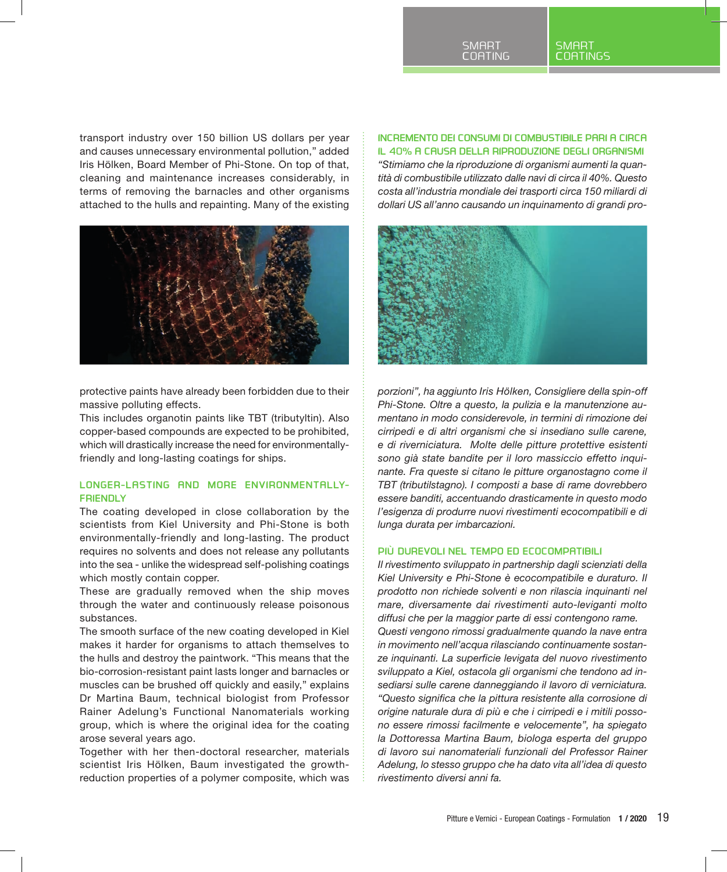transport industry over 150 billion US dollars per year and causes unnecessary environmental pollution," added Iris Hölken, Board Member of Phi-Stone. On top of that, cleaning and maintenance increases considerably, in terms of removing the barnacles and other organisms attached to the hulls and repainting. Many of the existing



protective paints have already been forbidden due to their massive polluting effects.

This includes organotin paints like TBT (tributyltin). Also copper-based compounds are expected to be prohibited, which will drastically increase the need for environmentallyfriendly and long-lasting coatings for ships.

# **LONGER-LASTING AND MORE ENVIRONMENTALLY-FRIENDLY**

The coating developed in close collaboration by the scientists from Kiel University and Phi-Stone is both environmentally-friendly and long-lasting. The product requires no solvents and does not release any pollutants into the sea - unlike the widespread self-polishing coatings which mostly contain copper.

These are gradually removed when the ship moves through the water and continuously release poisonous substances.

The smooth surface of the new coating developed in Kiel makes it harder for organisms to attach themselves to the hulls and destroy the paintwork. "This means that the bio-corrosion-resistant paint lasts longer and barnacles or muscles can be brushed off quickly and easily," explains Dr Martina Baum, technical biologist from Professor Rainer Adelung's Functional Nanomaterials working group, which is where the original idea for the coating arose several years ago.

Together with her then-doctoral researcher, materials scientist Iris Hölken, Baum investigated the growthreduction properties of a polymer composite, which was

# **INCREMENTO DEI CONSUMI DI COMBUSTIBILE PARI A CIRCA**

**IL 40% A CAUSA DELLA RIPRODUZIONE DEGLI ORGANISMI** *"Stimiamo che la riproduzione di organismi aumenti la quantità di combustibile utilizzato dalle navi di circa il 40%. Questo costa all'industria mondiale dei trasporti circa 150 miliardi di dollari US all'anno causando un inquinamento di grandi pro-*



*porzioni", ha aggiunto Iris Hölken, Consigliere della spin-off Phi-Stone. Oltre a questo, la pulizia e la manutenzione aumentano in modo considerevole, in termini di rimozione dei cirripedi e di altri organismi che si insediano sulle carene, e di riverniciatura. Molte delle pitture protettive esistenti sono già state bandite per il loro massiccio effetto inquinante. Fra queste si citano le pitture organostagno come il TBT (tributilstagno). I composti a base di rame dovrebbero essere banditi, accentuando drasticamente in questo modo l'esigenza di produrre nuovi rivestimenti ecocompatibili e di lunga durata per imbarcazioni.*

## **PIÙ DUREVOLI NEL TEMPO ED ECOCOMPATIBILI**

*Il rivestimento sviluppato in partnership dagli scienziati della Kiel University e Phi-Stone è ecocompatibile e duraturo. Il prodotto non richiede solventi e non rilascia inquinanti nel mare, diversamente dai rivestimenti auto-leviganti molto diffusi che per la maggior parte di essi contengono rame. Questi vengono rimossi gradualmente quando la nave entra in movimento nell'acqua rilasciando continuamente sostanze inquinanti. La superficie levigata del nuovo rivestimento sviluppato a Kiel, ostacola gli organismi che tendono ad insediarsi sulle carene danneggiando il lavoro di verniciatura. "Questo significa che la pittura resistente alla corrosione di origine naturale dura di più e che i cirripedi e i mitili possono essere rimossi facilmente e velocemente", ha spiegato la Dottoressa Martina Baum, biologa esperta del gruppo di lavoro sui nanomateriali funzionali del Professor Rainer Adelung, lo stesso gruppo che ha dato vita all'idea di questo rivestimento diversi anni fa.*